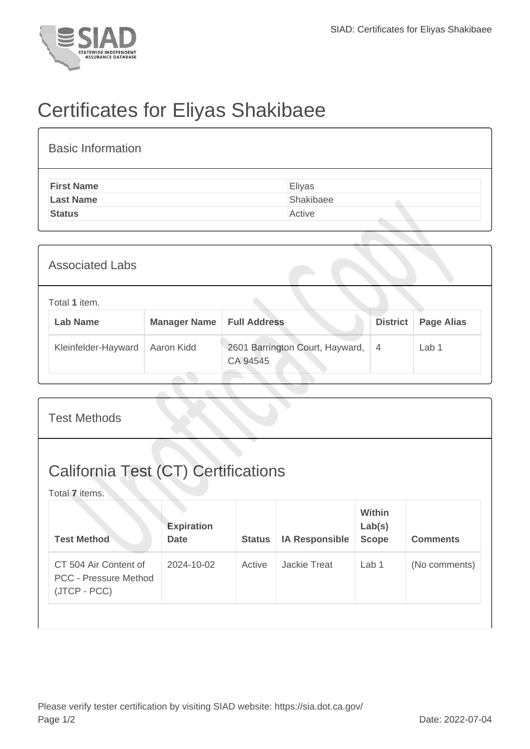

## Certificates for Eliyas Shakibaee

| <b>Basic Information</b> |           |  |  |  |  |  |  |
|--------------------------|-----------|--|--|--|--|--|--|
| <b>First Name</b>        | Eliyas    |  |  |  |  |  |  |
| <b>Last Name</b>         | Shakibaee |  |  |  |  |  |  |
| <b>Status</b>            | Active    |  |  |  |  |  |  |

| <b>Associated Labs</b> |                                  |                     |                                             |                 |                   |  |  |
|------------------------|----------------------------------|---------------------|---------------------------------------------|-----------------|-------------------|--|--|
|                        | Total 1 item.<br><b>Lab Name</b> | <b>Manager Name</b> | <b>Full Address</b>                         | <b>District</b> | <b>Page Alias</b> |  |  |
|                        | Kleinfelder-Hayward              | Aaron Kidd          | 2601 Barrington Court, Hayward,<br>CA 94545 | $\overline{4}$  | Lab 1             |  |  |

| <b>Test Methods</b>                                                   |                                  |               |                       |                                         |                 |  |
|-----------------------------------------------------------------------|----------------------------------|---------------|-----------------------|-----------------------------------------|-----------------|--|
| <b>California Test (CT) Certifications</b><br>Total 7 items.          |                                  |               |                       |                                         |                 |  |
| <b>Test Method</b>                                                    | <b>Expiration</b><br><b>Date</b> | <b>Status</b> | <b>IA Responsible</b> | <b>Within</b><br>Lab(s)<br><b>Scope</b> | <b>Comments</b> |  |
| CT 504 Air Content of<br><b>PCC - Pressure Method</b><br>(JTCP - PCC) | 2024-10-02                       | Active        | Jackie Treat          | Lab 1                                   | (No comments)   |  |
|                                                                       |                                  |               |                       |                                         |                 |  |